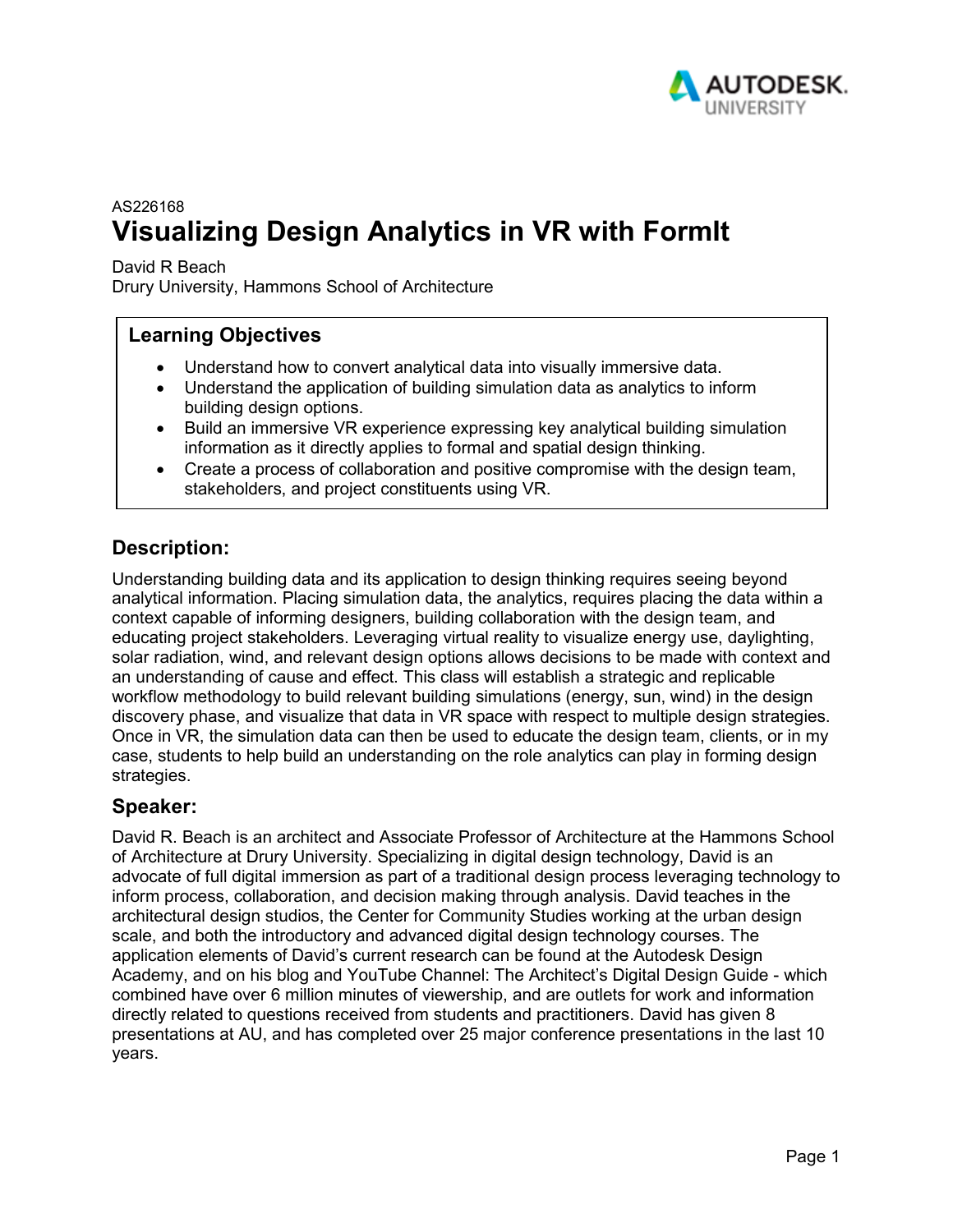

# AS226168 **Visualizing Design Analytics in VR with FormIt**

David R Beach

Drury University, Hammons School of Architecture

#### **Learning Objectives**

- Understand how to convert analytical data into visually immersive data.
- Understand the application of building simulation data as analytics to inform building design options.
- Build an immersive VR experience expressing key analytical building simulation information as it directly applies to formal and spatial design thinking.
- Create a process of collaboration and positive compromise with the design team, stakeholders, and project constituents using VR.

#### **Description:**

Understanding building data and its application to design thinking requires seeing beyond analytical information. Placing simulation data, the analytics, requires placing the data within a context capable of informing designers, building collaboration with the design team, and educating project stakeholders. Leveraging virtual reality to visualize energy use, daylighting, solar radiation, wind, and relevant design options allows decisions to be made with context and an understanding of cause and effect. This class will establish a strategic and replicable workflow methodology to build relevant building simulations (energy, sun, wind) in the design discovery phase, and visualize that data in VR space with respect to multiple design strategies. Once in VR, the simulation data can then be used to educate the design team, clients, or in my case, students to help build an understanding on the role analytics can play in forming design strategies.

#### **Speaker:**

David R. Beach is an architect and Associate Professor of Architecture at the Hammons School of Architecture at Drury University. Specializing in digital design technology, David is an advocate of full digital immersion as part of a traditional design process leveraging technology to inform process, collaboration, and decision making through analysis. David teaches in the architectural design studios, the Center for Community Studies working at the urban design scale, and both the introductory and advanced digital design technology courses. The application elements of David's current research can be found at the Autodesk Design Academy, and on his blog and YouTube Channel: The Architect's Digital Design Guide - which combined have over 6 million minutes of viewership, and are outlets for work and information directly related to questions received from students and practitioners. David has given 8 presentations at AU, and has completed over 25 major conference presentations in the last 10 years.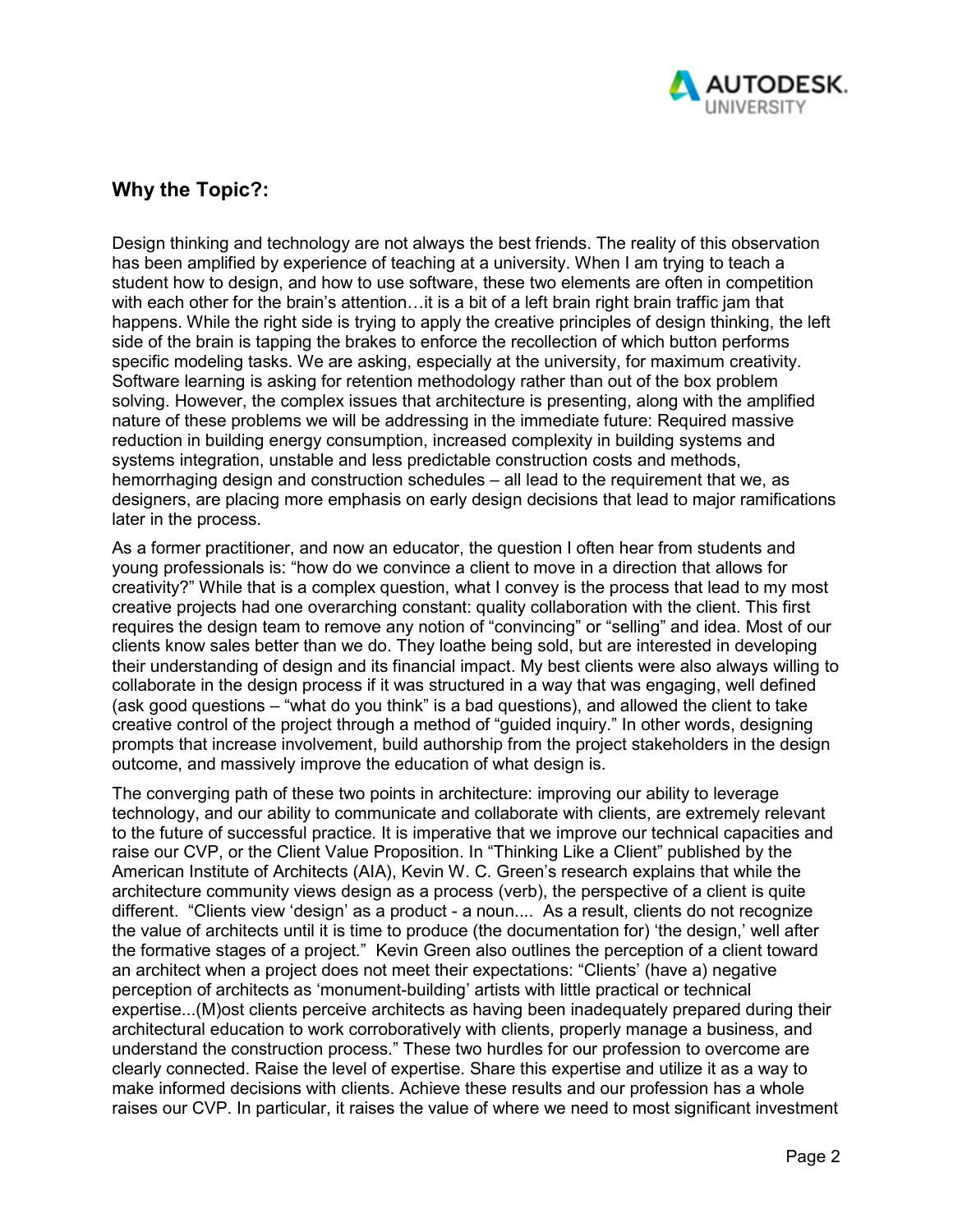

## **Why the Topic?:**

Design thinking and technology are not always the best friends. The reality of this observation has been amplified by experience of teaching at a university. When I am trying to teach a student how to design, and how to use software, these two elements are often in competition with each other for the brain's attention...it is a bit of a left brain right brain traffic jam that happens. While the right side is trying to apply the creative principles of design thinking, the left side of the brain is tapping the brakes to enforce the recollection of which button performs specific modeling tasks. We are asking, especially at the university, for maximum creativity. Software learning is asking for retention methodology rather than out of the box problem solving. However, the complex issues that architecture is presenting, along with the amplified nature of these problems we will be addressing in the immediate future: Required massive reduction in building energy consumption, increased complexity in building systems and systems integration, unstable and less predictable construction costs and methods, hemorrhaging design and construction schedules – all lead to the requirement that we, as designers, are placing more emphasis on early design decisions that lead to major ramifications later in the process.

As a former practitioner, and now an educator, the question I often hear from students and young professionals is: "how do we convince a client to move in a direction that allows for creativity?" While that is a complex question, what I convey is the process that lead to my most creative projects had one overarching constant: quality collaboration with the client. This first requires the design team to remove any notion of "convincing" or "selling" and idea. Most of our clients know sales better than we do. They loathe being sold, but are interested in developing their understanding of design and its financial impact. My best clients were also always willing to collaborate in the design process if it was structured in a way that was engaging, well defined (ask good questions – "what do you think" is a bad questions), and allowed the client to take creative control of the project through a method of "guided inquiry." In other words, designing prompts that increase involvement, build authorship from the project stakeholders in the design outcome, and massively improve the education of what design is.

The converging path of these two points in architecture: improving our ability to leverage technology, and our ability to communicate and collaborate with clients, are extremely relevant to the future of successful practice. It is imperative that we improve our technical capacities and raise our CVP, or the Client Value Proposition. In "Thinking Like a Client" published by the American Institute of Architects (AIA), Kevin W. C. Green's research explains that while the architecture community views design as a process (verb), the perspective of a client is quite different. "Clients view 'design' as a product - a noun.... As a result, clients do not recognize the value of architects until it is time to produce (the documentation for) 'the design,' well after the formative stages of a project." Kevin Green also outlines the perception of a client toward an architect when a project does not meet their expectations: "Clients' (have a) negative perception of architects as 'monument-building' artists with little practical or technical expertise...(M)ost clients perceive architects as having been inadequately prepared during their architectural education to work corroboratively with clients, properly manage a business, and understand the construction process." These two hurdles for our profession to overcome are clearly connected. Raise the level of expertise. Share this expertise and utilize it as a way to make informed decisions with clients. Achieve these results and our profession has a whole raises our CVP. In particular, it raises the value of where we need to most significant investment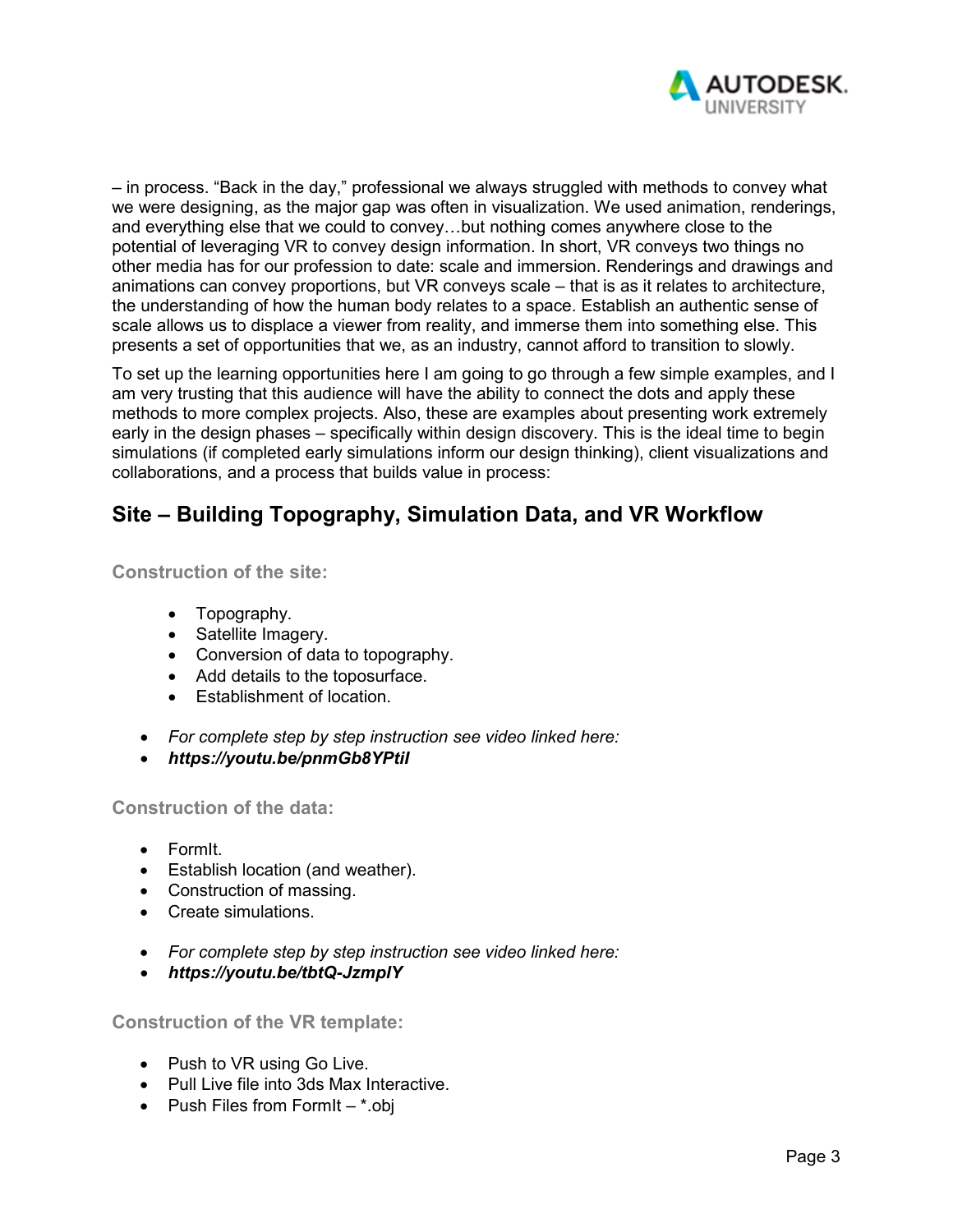

– in process. "Back in the day," professional we always struggled with methods to convey what we were designing, as the major gap was often in visualization. We used animation, renderings, and everything else that we could to convey…but nothing comes anywhere close to the potential of leveraging VR to convey design information. In short, VR conveys two things no other media has for our profession to date: scale and immersion. Renderings and drawings and animations can convey proportions, but VR conveys scale – that is as it relates to architecture, the understanding of how the human body relates to a space. Establish an authentic sense of scale allows us to displace a viewer from reality, and immerse them into something else. This presents a set of opportunities that we, as an industry, cannot afford to transition to slowly.

To set up the learning opportunities here I am going to go through a few simple examples, and I am very trusting that this audience will have the ability to connect the dots and apply these methods to more complex projects. Also, these are examples about presenting work extremely early in the design phases – specifically within design discovery. This is the ideal time to begin simulations (if completed early simulations inform our design thinking), client visualizations and collaborations, and a process that builds value in process:

# **Site – Building Topography, Simulation Data, and VR Workflow**

**Construction of the site:**

- Topography.
- Satellite Imagery.
- Conversion of data to topography.
- Add details to the toposurface.
- Establishment of location.
- *For complete step by step instruction see video linked here:*
- *https://youtu.be/pnmGb8YPtiI*

**Construction of the data:**

- FormIt.
- Establish location (and weather).
- Construction of massing.
- Create simulations.
- *For complete step by step instruction see video linked here:*
- *https://youtu.be/tbtQ-JzmplY*

**Construction of the VR template:**

- Push to VR using Go Live.
- Pull Live file into 3ds Max Interactive.
- Push Files from FormIt  $-$  \*.obj